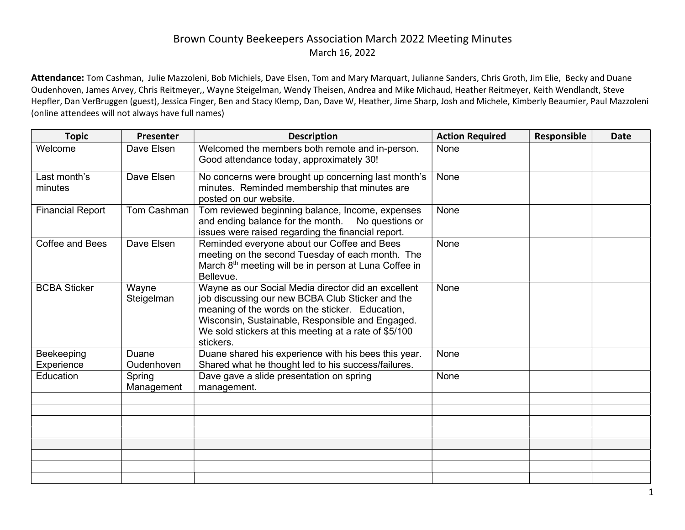## Brown County Beekeepers Association March 2022 Meeting Minutes March 16, 2022

Attendance: Tom Cashman, Julie Mazzoleni, Bob Michiels, Dave Elsen, Tom and Mary Marquart, Julianne Sanders, Chris Groth, Jim Elie, Becky and Duane Oudenhoven, James Arvey, Chris Reitmeyer,, Wayne Steigelman, Wendy Theisen, Andrea and Mike Michaud, Heather Reitmeyer, Keith Wendlandt, Steve Hepfler, Dan VerBruggen (guest), Jessica Finger, Ben and Stacy Klemp, Dan, Dave W, Heather, Jime Sharp, Josh and Michele, Kimberly Beaumier, Paul Mazzoleni (online attendees will not always have full names)

| <b>Topic</b>             | <b>Presenter</b>           | <b>Description</b>                                                                                                                                                                                                                                                                   | <b>Action Required</b> | Responsible | <b>Date</b> |
|--------------------------|----------------------------|--------------------------------------------------------------------------------------------------------------------------------------------------------------------------------------------------------------------------------------------------------------------------------------|------------------------|-------------|-------------|
| Welcome                  | Dave Elsen                 | Welcomed the members both remote and in-person.<br>Good attendance today, approximately 30!                                                                                                                                                                                          | None                   |             |             |
| Last month's<br>minutes  | Dave Elsen                 | No concerns were brought up concerning last month's<br>minutes. Reminded membership that minutes are<br>posted on our website.                                                                                                                                                       | None                   |             |             |
| <b>Financial Report</b>  | Tom Cashman                | Tom reviewed beginning balance, Income, expenses<br>and ending balance for the month.<br>No questions or<br>issues were raised regarding the financial report.                                                                                                                       | None                   |             |             |
| Coffee and Bees          | Dave Elsen                 | Reminded everyone about our Coffee and Bees<br>meeting on the second Tuesday of each month. The<br>March 8 <sup>th</sup> meeting will be in person at Luna Coffee in<br>Bellevue.                                                                                                    | None                   |             |             |
| <b>BCBA Sticker</b>      | Wayne<br>Steigelman        | Wayne as our Social Media director did an excellent<br>job discussing our new BCBA Club Sticker and the<br>meaning of the words on the sticker. Education,<br>Wisconsin, Sustainable, Responsible and Engaged.<br>We sold stickers at this meeting at a rate of \$5/100<br>stickers. | None                   |             |             |
| Beekeeping<br>Experience | Duane<br><b>Oudenhoven</b> | Duane shared his experience with his bees this year.<br>Shared what he thought led to his success/failures.                                                                                                                                                                          | None                   |             |             |
| Education                | Spring<br>Management       | Dave gave a slide presentation on spring<br>management.                                                                                                                                                                                                                              | None                   |             |             |
|                          |                            |                                                                                                                                                                                                                                                                                      |                        |             |             |
|                          |                            |                                                                                                                                                                                                                                                                                      |                        |             |             |
|                          |                            |                                                                                                                                                                                                                                                                                      |                        |             |             |
|                          |                            |                                                                                                                                                                                                                                                                                      |                        |             |             |
|                          |                            |                                                                                                                                                                                                                                                                                      |                        |             |             |
|                          |                            |                                                                                                                                                                                                                                                                                      |                        |             |             |